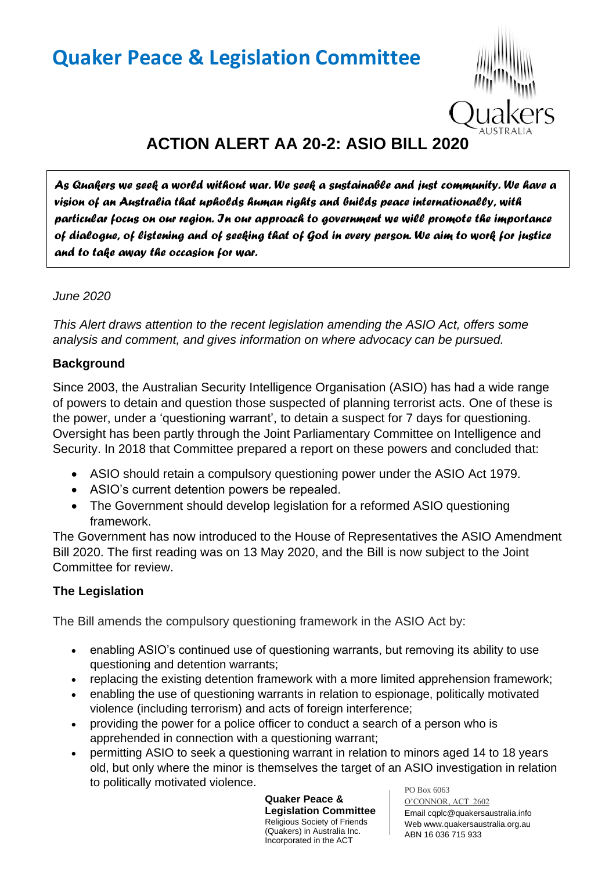# **Quaker Peace & Legislation Committee**



## **ACTION ALERT AA 20-2: ASIO BILL 2020**

*As Quakers we seek a world without war. We seek a sustainable and just community. We have a vision of an Australia that upholds human rights and builds peace internationally, with particular focus on our region. In our approach to government we will promote the importance of dialogue, of listening and of seeking that of God in every person. We aim to work for justice and to take away the occasion for war.* 

#### *June 2020*

*This Alert draws attention to the recent legislation amending the ASIO Act, offers some analysis and comment, and gives information on where advocacy can be pursued.*

#### **Background**

Since 2003, the Australian Security Intelligence Organisation (ASIO) has had a wide range of powers to detain and question those suspected of planning terrorist acts. One of these is the power, under a 'questioning warrant', to detain a suspect for 7 days for questioning. Oversight has been partly through the Joint Parliamentary Committee on Intelligence and Security. In 2018 that Committee prepared a report on these powers and concluded that:

- ASIO should retain a compulsory questioning power under the ASIO Act 1979.
- ASIO's current detention powers be repealed.
- The Government should develop legislation for a reformed ASIO questioning framework.

The Government has now introduced to the House of Representatives the ASIO Amendment Bill 2020. The first reading was on 13 May 2020, and the Bill is now subject to the Joint Committee for review.

### **The Legislation**

The Bill amends the compulsory questioning framework in the ASIO Act by:

- enabling ASIO's continued use of questioning warrants, but removing its ability to use questioning and detention warrants;
- replacing the existing detention framework with a more limited apprehension framework;
- enabling the use of questioning warrants in relation to espionage, politically motivated violence (including terrorism) and acts of foreign interference;
- providing the power for a police officer to conduct a search of a person who is apprehended in connection with a questioning warrant;
- PO Box 6063 • permitting ASIO to seek a questioning warrant in relation to minors aged 14 to 18 years old, but only where the minor is themselves the target of an ASIO investigation in relation to politically motivated violence.

**Quaker Peace & Legislation Committee** Religious Society of Friends (Quakers) in Australia Inc. Incorporated in the ACT

O'CONNOR, ACT 2602 Email cqplc@quakersaustralia.info Web www.quakersaustralia.org.au ABN 16 036 715 933